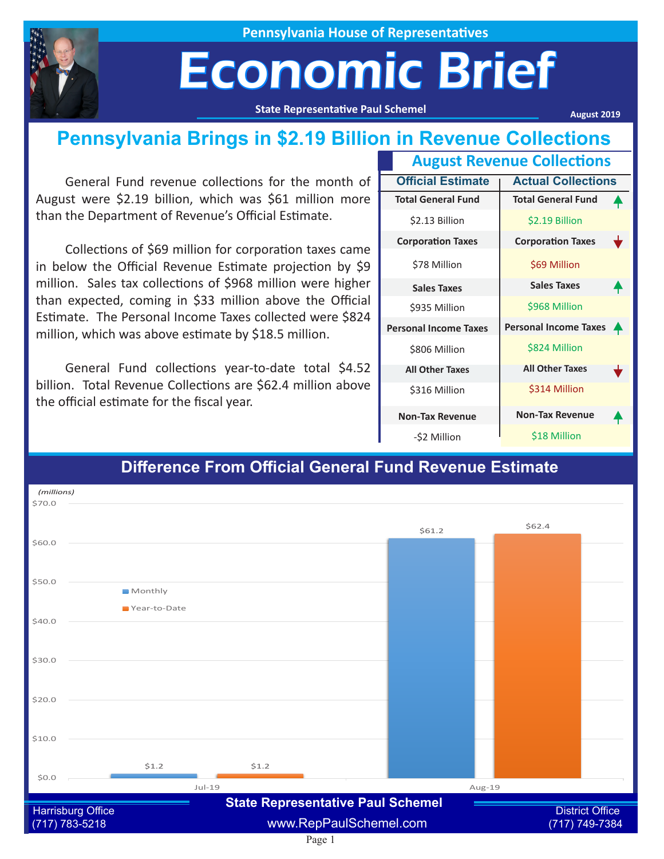

**Pennsylvania House of Representatives**

## Economic Brief

**State Representative Paul Schemel**

**August 2019**

### **Pennsylvania Brings in \$2.19 Billion in Revenue Collections**

General Fund revenue collections for the month of August were \$2.19 billion, which was \$61 million more than the Department of Revenue's Official Estimate.

Collections of \$69 million for corporation taxes came in below the Official Revenue Estimate projection by \$9 million. Sales tax collections of \$968 million were higher than expected, coming in \$33 million above the Official Estimate. The Personal Income Taxes collected were \$824 million, which was above estimate by \$18.5 million.

General Fund collections year-to-date total \$4.52 billion. Total Revenue Collections are \$62.4 million above the official estimate for the fiscal year.

| <b>August Revenue Collections</b> |                              |                  |
|-----------------------------------|------------------------------|------------------|
| <b>Official Estimate</b>          | <b>Actual Collections</b>    |                  |
| <b>Total General Fund</b>         | <b>Total General Fund</b>    |                  |
| \$2.13 Billion                    | \$2.19 Billion               |                  |
| <b>Corporation Taxes</b>          | <b>Corporation Taxes</b>     | t                |
| \$78 Million                      | \$69 Million                 |                  |
| <b>Sales Taxes</b>                | <b>Sales Taxes</b>           |                  |
| \$935 Million                     | \$968 Million                |                  |
| <b>Personal Income Taxes</b>      | <b>Personal Income Taxes</b> | $\ddot{\bullet}$ |
| \$806 Million                     | \$824 Million                |                  |
| <b>All Other Taxes</b>            | <b>All Other Taxes</b>       |                  |
| \$316 Million                     | \$314 Million                |                  |
| <b>Non-Tax Revenue</b>            | <b>Non-Tax Revenue</b>       |                  |
| -\$2 Million                      | \$18 Million                 |                  |

#### Page 1  $51.2$ \$61.2  $51.2$  $$62A$ \$0.0  $$10.0$ \$20.0  $$30.0$ \$40.0 \$50.0 \$60.0 \$70.0 Jul-19 Aug-19 Monthly Year-to-Date *(millions)* Harrisburg Office **District Office Clubs Concernative Figure 2** District Office District Office (717) 783-5218 www.RepPaulSchemel.com (717) 749-7384 **State Representative Paul Schemel**

#### **Difference From Official General Fund Revenue Estimate**